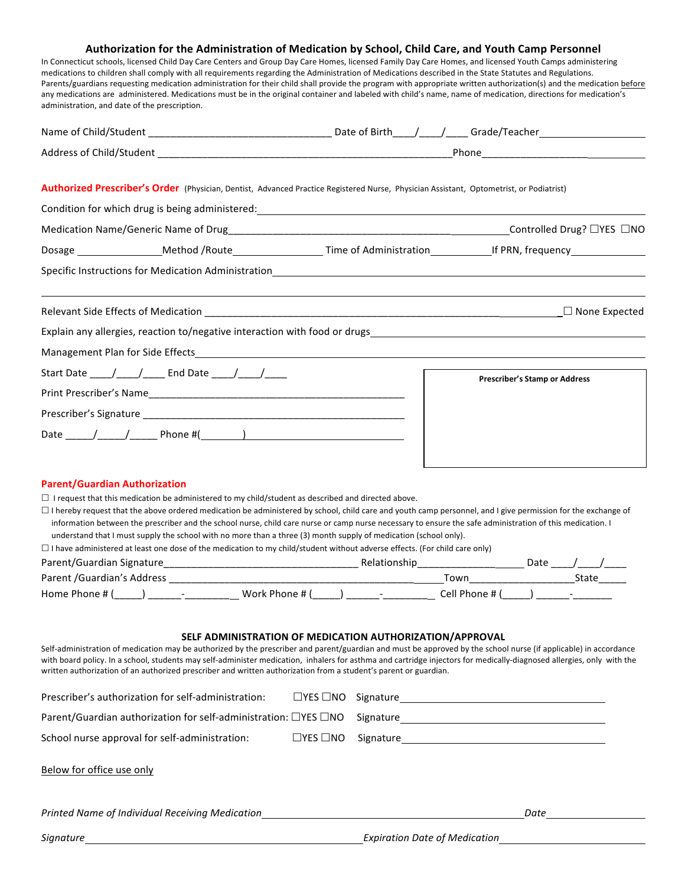## Authorization for the Administration of Medication by School, Child Care, and Youth Camp Personnel

In Connecticut schools, licensed Child Day Care Centers and Group Day Care Homes, licensed Family Day Care Homes, and licensed Youth Camps administering medications to children shall comply with all requirements regarding the Administration of Medications described in the State Statutes and Regulations. Parents/guardians requesting medication administration for their child shall provide the program with appropriate written authorization(s) and the medication before any medications are administered. Medications must be in the original container and labeled with child's name, name of medication, directions for medication's administration, and date of the prescription.

|                                                                                                            | Authorized Prescriber's Order (Physician, Dentist, Advanced Practice Registered Nurse, Physician Assistant, Optometrist, or Podiatrist)                                                                                                                                                                                                                                                                                                              |                                      |
|------------------------------------------------------------------------------------------------------------|------------------------------------------------------------------------------------------------------------------------------------------------------------------------------------------------------------------------------------------------------------------------------------------------------------------------------------------------------------------------------------------------------------------------------------------------------|--------------------------------------|
|                                                                                                            | Condition for which drug is being administered: example and a series of the condition of the condition of the condition of the condition of the condition of the condition of the condition of the condition of the condition                                                                                                                                                                                                                        |                                      |
|                                                                                                            |                                                                                                                                                                                                                                                                                                                                                                                                                                                      |                                      |
|                                                                                                            |                                                                                                                                                                                                                                                                                                                                                                                                                                                      |                                      |
|                                                                                                            |                                                                                                                                                                                                                                                                                                                                                                                                                                                      |                                      |
| Relevant Side Effects of Medication                                                                        |                                                                                                                                                                                                                                                                                                                                                                                                                                                      | $\Box$ None Expected                 |
|                                                                                                            | Explain any allergies, reaction to/negative interaction with food or drugs<br>Superified and transformation and the manufacture and the manufacture and the manufacture and the manufacture                                                                                                                                                                                                                                                          |                                      |
|                                                                                                            | Management Plan for Side Effects <b>Analyzis and Container and Container and Container</b> and Container and Container                                                                                                                                                                                                                                                                                                                               |                                      |
| Start Date ____/____/_____ End Date ____/____/_____                                                        |                                                                                                                                                                                                                                                                                                                                                                                                                                                      |                                      |
|                                                                                                            |                                                                                                                                                                                                                                                                                                                                                                                                                                                      | <b>Prescriber's Stamp or Address</b> |
|                                                                                                            |                                                                                                                                                                                                                                                                                                                                                                                                                                                      |                                      |
|                                                                                                            |                                                                                                                                                                                                                                                                                                                                                                                                                                                      |                                      |
|                                                                                                            |                                                                                                                                                                                                                                                                                                                                                                                                                                                      |                                      |
| <b>Parent/Guardian Authorization</b>                                                                       |                                                                                                                                                                                                                                                                                                                                                                                                                                                      |                                      |
| $\Box$ I request that this medication be administered to my child/student as described and directed above. |                                                                                                                                                                                                                                                                                                                                                                                                                                                      |                                      |
|                                                                                                            | $\Box$ I hereby request that the above ordered medication be administered by school, child care and youth camp personnel, and I give permission for the exchange of<br>information between the prescriber and the school nurse, child care nurse or camp nurse necessary to ensure the safe administration of this medication. I<br>understand that I must supply the school with no more than a three (3) month supply of medication (school only). |                                      |
|                                                                                                            | $\Box$ I have administered at least one dose of the medication to my child/student without adverse effects. (For child care only)                                                                                                                                                                                                                                                                                                                    |                                      |
|                                                                                                            |                                                                                                                                                                                                                                                                                                                                                                                                                                                      | Date $\sqrt{ }$                      |
| Parent / Guardian's Address                                                                                |                                                                                                                                                                                                                                                                                                                                                                                                                                                      | Town<br>State                        |

## SELF ADMINISTRATION OF MEDICATION AUTHORIZATION/APPROVAL

Home Phone # (\_\_\_\_\_) \_\_\_\_\_\_-\_\_\_\_\_\_\_\_ Work Phone # (\_\_\_\_\_) \_\_\_\_\_\_-\_\_\_\_\_\_\_\_ Cell Phone # (\_\_\_\_\_) \_\_\_\_\_\_-\_\_\_\_\_\_\_ 

Self-administration of medication may be authorized by the prescriber and parent/guardian and must be approved by the school nurse (if applicable) in accordance with board policy. In a school, students may self-administer medication, inhalers for asthma and cartridge injectors for medically-diagnosed allergies, only with the written authorization of an authorized prescriber and written authorization from a student's parent or guardian.

| Prescriber's authorization for self-administration:                         |                      | $\Box$ YES $\Box$ NO Signature $\Box$ |      |
|-----------------------------------------------------------------------------|----------------------|---------------------------------------|------|
| Parent/Guardian authorization for self-administration: $\Box$ YES $\Box$ NO |                      |                                       |      |
| School nurse approval for self-administration:                              | $\Box$ YES $\Box$ NO |                                       |      |
| Below for office use only                                                   |                      |                                       |      |
| Printed Name of Individual Receiving Medication                             |                      |                                       | Date |
| Signature                                                                   |                      | <b>Expiration Date of Medication</b>  |      |